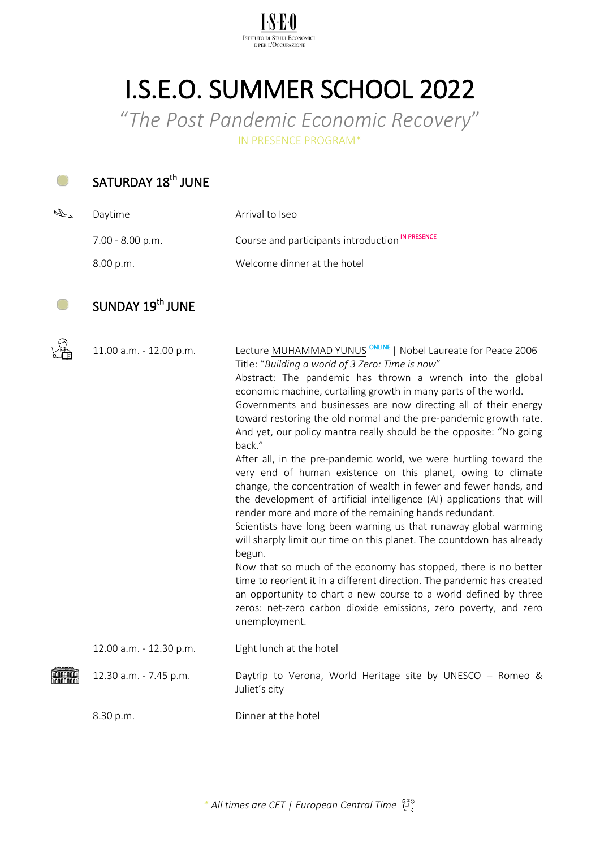

# I.S.E.O. SUMMER SCHOOL 2022

"*The Post Pandemic Economic Recovery*"

IN PRESENCE PROGRAM\*

#### SATURDAY 18<sup>th</sup> JUNE Ο

 $\frac{1}{2}$ 

| Daytime            | Arrival to Iseo                                  |
|--------------------|--------------------------------------------------|
| $7.00 - 8.00$ p.m. | Course and participants introduction IN PRESENCE |
| 8.00 p.m.          | Welcome dinner at the hotel                      |

#### SUNDAY 19<sup>th</sup> JUNE O

| 11.00 a.m. - 12.00 p.m. | Lecture MUHAMMAD YUNUS <sup>ONLINE</sup>   Nobel Laureate for Peace 2006<br>Title: "Building a world of 3 Zero: Time is now"<br>Abstract: The pandemic has thrown a wrench into the global<br>economic machine, curtailing growth in many parts of the world.<br>Governments and businesses are now directing all of their energy<br>toward restoring the old normal and the pre-pandemic growth rate.<br>And yet, our policy mantra really should be the opposite: "No going<br>back."           |
|-------------------------|---------------------------------------------------------------------------------------------------------------------------------------------------------------------------------------------------------------------------------------------------------------------------------------------------------------------------------------------------------------------------------------------------------------------------------------------------------------------------------------------------|
|                         | After all, in the pre-pandemic world, we were hurtling toward the<br>very end of human existence on this planet, owing to climate<br>change, the concentration of wealth in fewer and fewer hands, and<br>the development of artificial intelligence (AI) applications that will<br>render more and more of the remaining hands redundant.<br>Scientists have long been warning us that runaway global warming<br>will sharply limit our time on this planet. The countdown has already<br>begun. |
|                         | Now that so much of the economy has stopped, there is no better<br>time to reorient it in a different direction. The pandemic has created<br>an opportunity to chart a new course to a world defined by three<br>zeros: net-zero carbon dioxide emissions, zero poverty, and zero<br>unemployment.                                                                                                                                                                                                |
| 12.00 a.m. - 12.30 p.m. | Light lunch at the hotel                                                                                                                                                                                                                                                                                                                                                                                                                                                                          |
| 12.30 a.m. - 7.45 p.m.  | Daytrip to Verona, World Heritage site by UNESCO - Romeo &<br>Juliet's city                                                                                                                                                                                                                                                                                                                                                                                                                       |
| 8.30 p.m.               | Dinner at the hotel                                                                                                                                                                                                                                                                                                                                                                                                                                                                               |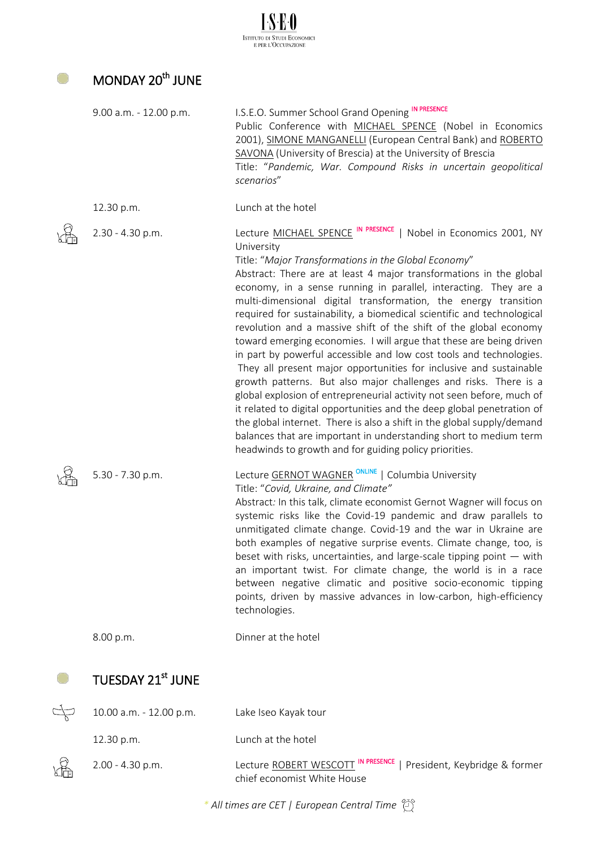| MONDAY 20 <sup>th</sup> JUNE |                                                                                                                                                                                                                                                                                                                                                                                                                                                                                                                                                                                                                                                                                                                                                                                                                                                                                                                                                                                                                                                                                                                                                        |
|------------------------------|--------------------------------------------------------------------------------------------------------------------------------------------------------------------------------------------------------------------------------------------------------------------------------------------------------------------------------------------------------------------------------------------------------------------------------------------------------------------------------------------------------------------------------------------------------------------------------------------------------------------------------------------------------------------------------------------------------------------------------------------------------------------------------------------------------------------------------------------------------------------------------------------------------------------------------------------------------------------------------------------------------------------------------------------------------------------------------------------------------------------------------------------------------|
| 9.00 a.m. - 12.00 p.m.       | I.S.E.O. Summer School Grand Opening IN PRESENCE<br>Public Conference with MICHAEL SPENCE (Nobel in Economics<br>2001), SIMONE MANGANELLI (European Central Bank) and ROBERTO<br>SAVONA (University of Brescia) at the University of Brescia<br>Title: "Pandemic, War. Compound Risks in uncertain geopolitical<br>scenarios"                                                                                                                                                                                                                                                                                                                                                                                                                                                                                                                                                                                                                                                                                                                                                                                                                          |
| 12.30 p.m.                   | Lunch at the hotel                                                                                                                                                                                                                                                                                                                                                                                                                                                                                                                                                                                                                                                                                                                                                                                                                                                                                                                                                                                                                                                                                                                                     |
| 2.30 - 4.30 p.m.             | Lecture MICHAEL SPENCE IN PRESENCE   Nobel in Economics 2001, NY<br>University<br>Title: "Major Transformations in the Global Economy"<br>Abstract: There are at least 4 major transformations in the global<br>economy, in a sense running in parallel, interacting. They are a<br>multi-dimensional digital transformation, the energy transition<br>required for sustainability, a biomedical scientific and technological<br>revolution and a massive shift of the shift of the global economy<br>toward emerging economies. I will argue that these are being driven<br>in part by powerful accessible and low cost tools and technologies.<br>They all present major opportunities for inclusive and sustainable<br>growth patterns. But also major challenges and risks. There is a<br>global explosion of entrepreneurial activity not seen before, much of<br>it related to digital opportunities and the deep global penetration of<br>the global internet. There is also a shift in the global supply/demand<br>balances that are important in understanding short to medium term<br>headwinds to growth and for guiding policy priorities. |
| 5.30 - 7.30 p.m.             | Lecture <b>GERNOT WAGNER<sup>ONLINE</sup></b>   Columbia University<br>Title: "Covid, Ukraine, and Climate"<br>Abstract: In this talk, climate economist Gernot Wagner will focus on<br>systemic risks like the Covid-19 pandemic and draw parallels to<br>unmitigated climate change. Covid-19 and the war in Ukraine are<br>both examples of negative surprise events. Climate change, too, is<br>beset with risks, uncertainties, and large-scale tipping point $-$ with<br>an important twist. For climate change, the world is in a race<br>between negative climatic and positive socio-economic tipping<br>points, driven by massive advances in low-carbon, high-efficiency<br>technologies.                                                                                                                                                                                                                                                                                                                                                                                                                                                   |
| 8.00 p.m.                    | Dinner at the hotel                                                                                                                                                                                                                                                                                                                                                                                                                                                                                                                                                                                                                                                                                                                                                                                                                                                                                                                                                                                                                                                                                                                                    |
| TUESDAY 21st JUNE            |                                                                                                                                                                                                                                                                                                                                                                                                                                                                                                                                                                                                                                                                                                                                                                                                                                                                                                                                                                                                                                                                                                                                                        |
| 10.00 a.m. - 12.00 p.m.      | Lake Iseo Kayak tour                                                                                                                                                                                                                                                                                                                                                                                                                                                                                                                                                                                                                                                                                                                                                                                                                                                                                                                                                                                                                                                                                                                                   |
| 12.30 p.m.                   | Lunch at the hotel                                                                                                                                                                                                                                                                                                                                                                                                                                                                                                                                                                                                                                                                                                                                                                                                                                                                                                                                                                                                                                                                                                                                     |
| 2.00 - 4.30 p.m.             | IN PRESENCE<br>Lecture ROBERT WESCOTT<br>President, Keybridge & former<br>chief economist White House                                                                                                                                                                                                                                                                                                                                                                                                                                                                                                                                                                                                                                                                                                                                                                                                                                                                                                                                                                                                                                                  |

 $I.S.E.0$ Istituto di Studi Economici<br>e per l'Occupazione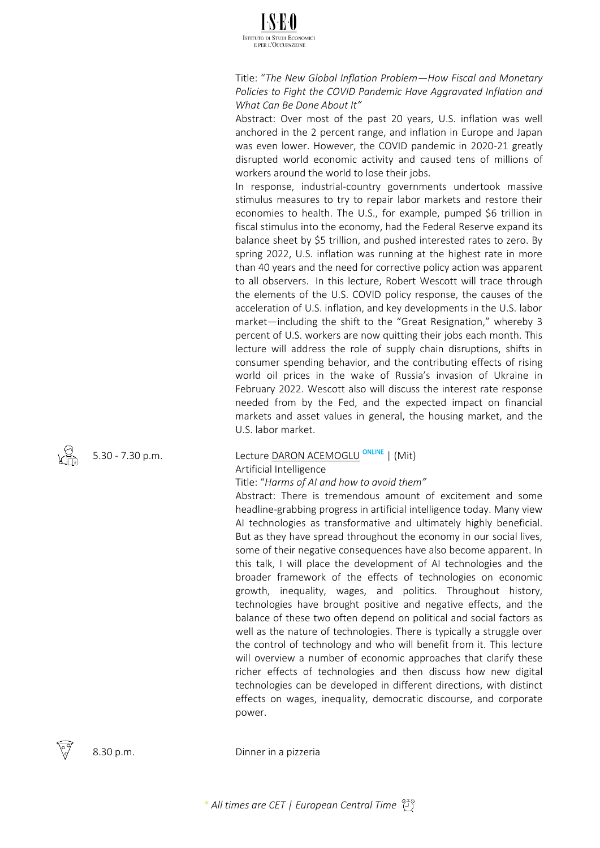

Title: "*The New Global Inflation Problem—How Fiscal and Monetary Policies to Fight the COVID Pandemic Have Aggravated Inflation and What Can Be Done About It"*

Abstract: Over most of the past 20 years, U.S. inflation was well anchored in the 2 percent range, and inflation in Europe and Japan was even lower. However, the COVID pandemic in 2020-21 greatly disrupted world economic activity and caused tens of millions of workers around the world to lose their jobs.

In response, industrial-country governments undertook massive stimulus measures to try to repair labor markets and restore their economies to health. The U.S., for example, pumped \$6 trillion in fiscal stimulus into the economy, had the Federal Reserve expand its balance sheet by \$5 trillion, and pushed interested rates to zero. By spring 2022, U.S. inflation was running at the highest rate in more than 40 years and the need for corrective policy action was apparent to all observers. In this lecture, Robert Wescott will trace through the elements of the U.S. COVID policy response, the causes of the acceleration of U.S. inflation, and key developments in the U.S. labor market—including the shift to the "Great Resignation," whereby 3 percent of U.S. workers are now quitting their jobs each month. This lecture will address the role of supply chain disruptions, shifts in consumer spending behavior, and the contributing effects of rising world oil prices in the wake of Russia's invasion of Ukraine in February 2022. Wescott also will discuss the interest rate response needed from by the Fed, and the expected impact on financial markets and asset values in general, the housing market, and the U.S. labor market.

### 5.30 - 7.30 p.m. Lecture DARON ACEMOGLU <sup>ONLINE</sup> | (Mit) Artificial Intelligence

### Title: "*Harms of AI and how to avoid them"*

Abstract: There is tremendous amount of excitement and some headline-grabbing progress in artificial intelligence today. Many view AI technologies as transformative and ultimately highly beneficial. But as they have spread throughout the economy in our social lives, some of their negative consequences have also become apparent. In this talk, I will place the development of AI technologies and the broader framework of the effects of technologies on economic growth, inequality, wages, and politics. Throughout history, technologies have brought positive and negative effects, and the balance of these two often depend on political and social factors as well as the nature of technologies. There is typically a struggle over the control of technology and who will benefit from it. This lecture will overview a number of economic approaches that clarify these richer effects of technologies and then discuss how new digital technologies can be developed in different directions, with distinct effects on wages, inequality, democratic discourse, and corporate power.



8.30 p.m. Dinner in a pizzeria

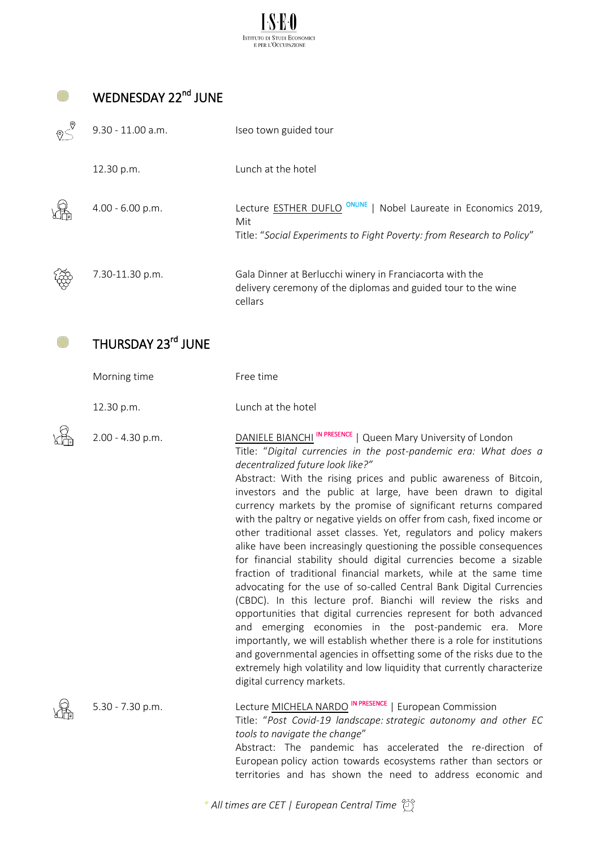

 $\sqrt{\frac{6}{2}}$ 

O

# WEDNESDAY 22<sup>nd</sup> JUNE

| 9.30 - 11.00 a.m.  | Iseo town guided tour                                                                                                                     |
|--------------------|-------------------------------------------------------------------------------------------------------------------------------------------|
| 12.30 p.m.         | Lunch at the hotel                                                                                                                        |
| $4.00 - 6.00 p.m.$ | Lecture ESTHER DUFLO<br>Nobel Laureate in Economics 2019,<br>Mit<br>Title: "Social Experiments to Fight Poverty: from Research to Policy" |
| 7.30-11.30 p.m.    | Gala Dinner at Berlucchi winery in Franciacorta with the<br>delivery ceremony of the diplomas and guided tour to the wine<br>cellars      |

#### THURSDAY 23<sup>rd</sup> JUNE  $\bullet$

| Morning time     | Free time                                                                                                                                                                                                                                                                                                                                                                                                                                                                                                                                                                                                                                                                                                                                                                                                                                                                                                                                                                                                                                                                                                                                                                                                                                                                                     |
|------------------|-----------------------------------------------------------------------------------------------------------------------------------------------------------------------------------------------------------------------------------------------------------------------------------------------------------------------------------------------------------------------------------------------------------------------------------------------------------------------------------------------------------------------------------------------------------------------------------------------------------------------------------------------------------------------------------------------------------------------------------------------------------------------------------------------------------------------------------------------------------------------------------------------------------------------------------------------------------------------------------------------------------------------------------------------------------------------------------------------------------------------------------------------------------------------------------------------------------------------------------------------------------------------------------------------|
| 12.30 p.m.       | Lunch at the hotel                                                                                                                                                                                                                                                                                                                                                                                                                                                                                                                                                                                                                                                                                                                                                                                                                                                                                                                                                                                                                                                                                                                                                                                                                                                                            |
| 2.00 - 4.30 p.m. | DANIELE BIANCHI <sup>IN PRESENCE</sup>   Queen Mary University of London<br>Title: "Digital currencies in the post-pandemic era: What does a<br>decentralized future look like?"<br>Abstract: With the rising prices and public awareness of Bitcoin,<br>investors and the public at large, have been drawn to digital<br>currency markets by the promise of significant returns compared<br>with the paltry or negative yields on offer from cash, fixed income or<br>other traditional asset classes. Yet, regulators and policy makers<br>alike have been increasingly questioning the possible consequences<br>for financial stability should digital currencies become a sizable<br>fraction of traditional financial markets, while at the same time<br>advocating for the use of so-called Central Bank Digital Currencies<br>(CBDC). In this lecture prof. Bianchi will review the risks and<br>opportunities that digital currencies represent for both advanced<br>and emerging economies in the post-pandemic era. More<br>importantly, we will establish whether there is a role for institutions<br>and governmental agencies in offsetting some of the risks due to the<br>extremely high volatility and low liquidity that currently characterize<br>digital currency markets. |
| 5.30 - 7.30 p.m. | Lecture MICHELA NARDO IN PRESENCE   European Commission<br>Title: "Post Covid-19 landscape: strategic autonomy and other EC<br>tools to navigate the change"<br>Abstract: The pandemic has accelerated the re-direction of<br>European policy action towards ecosystems rather than sectors or                                                                                                                                                                                                                                                                                                                                                                                                                                                                                                                                                                                                                                                                                                                                                                                                                                                                                                                                                                                                |

*\* All times are CET | European Central Time*

territories and has shown the need to address economic and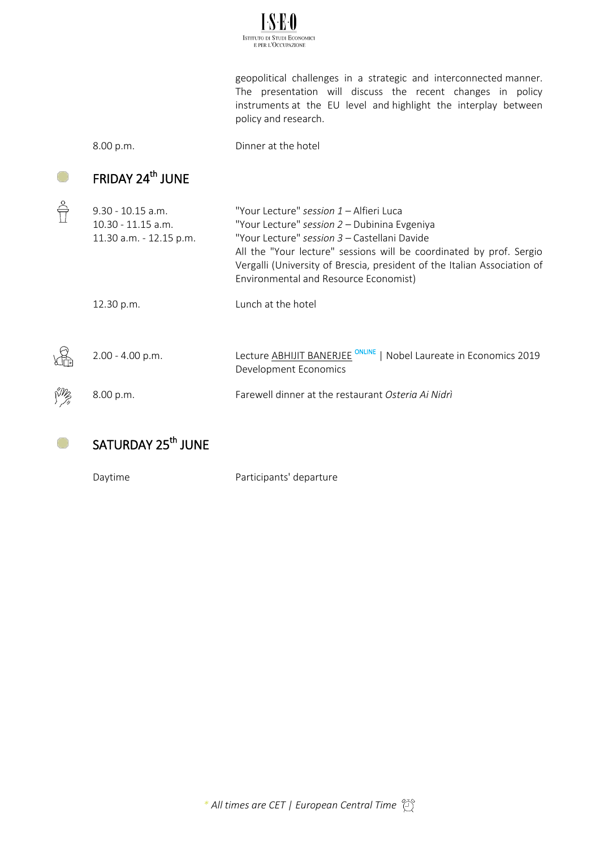

geopolitical challenges in a strategic and interconnected manner. The presentation will discuss the recent changes in policy instruments at the EU level and highlight the interplay between policy and research.

O

O

8.00 p.m. Dinner at the hotel

### FRIDAY 24<sup>th</sup> JUNE

| $9.30 - 10.15$ a.m.<br>$10.30 - 11.15$ a.m.<br>11.30 a.m. - 12.15 p.m. | "Your Lecture" session 1 – Alfieri Luca<br>"Your Lecture" session 2 - Dubinina Evgeniya<br>"Your Lecture" session 3 - Castellani Davide<br>All the "Your lecture" sessions will be coordinated by prof. Sergio<br>Vergalli (University of Brescia, president of the Italian Association of<br>Environmental and Resource Economist) |
|------------------------------------------------------------------------|-------------------------------------------------------------------------------------------------------------------------------------------------------------------------------------------------------------------------------------------------------------------------------------------------------------------------------------|
| 12.30 p.m.                                                             | Lunch at the hotel                                                                                                                                                                                                                                                                                                                  |
| $2.00 - 4.00$ p.m.                                                     | Lecture ABHIJIT BANERJEE <sup>ONLINE</sup><br>Nobel Laureate in Economics 2019<br>Development Economics                                                                                                                                                                                                                             |
| 8.00 p.m.                                                              | Farewell dinner at the restaurant Osteria Ai Nidri                                                                                                                                                                                                                                                                                  |

## SATURDAY 25<sup>th</sup> JUNE

Daytime **Participants'** departure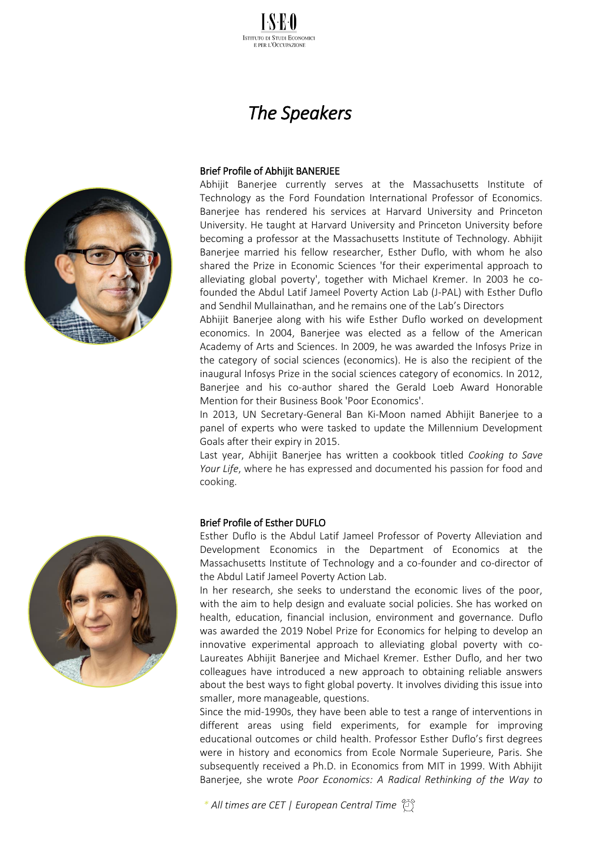

# *The Speakers*



#### Brief Profile of Abhijit BANERJEE

Abhijit Banerjee currently serves at the Massachusetts Institute of Technology as the Ford Foundation International Professor of Economics. Banerjee has rendered his services at Harvard University and Princeton University. He taught at Harvard University and Princeton University before becoming a professor at the Massachusetts Institute of Technology. Abhijit Banerjee married his fellow researcher, Esther Duflo, with whom he also shared the Prize in Economic Sciences 'for their experimental approach to alleviating global poverty', together with Michael Kremer. In 2003 he cofounded the Abdul Latif Jameel Poverty Action Lab (J-PAL) with Esther Duflo and Sendhil Mullainathan, and he remains one of the Lab's Directors

Abhijit Banerjee along with his wife Esther Duflo worked on development economics. In 2004, Banerjee was elected as a fellow of the American Academy of Arts and Sciences. In 2009, he was awarded the Infosys Prize in the category of social sciences (economics). He is also the recipient of the inaugural Infosys Prize in the social sciences category of economics. In 2012, Banerjee and his co-author shared the Gerald Loeb Award Honorable Mention for their Business Book 'Poor Economics'.

In 2013, UN Secretary-General Ban Ki-Moon named Abhijit Banerjee to a panel of experts who were tasked to update the Millennium Development Goals after their expiry in 2015.

Last year, Abhijit Banerjee has written a cookbook titled *Cooking to Save*  Your Life, where he has expressed and documented his passion for food and cooking.

#### Brief Profile of Esther DUFLO

Esther Duflo is the Abdul Latif Jameel Professor of Poverty Alleviation and Development Economics in the Department of Economics at the Massachusetts Institute of Technology and a co-founder and co-director of the Abdul Latif Jameel Poverty Action Lab.

In her research, she seeks to understand the economic lives of the poor, with the aim to help design and evaluate social policies. She has worked on health, education, financial inclusion, environment and governance. Duflo was awarded the 2019 Nobel Prize for Economics for helping to develop an innovative experimental approach to alleviating global poverty with co-Laureates Abhijit Banerjee and Michael Kremer. Esther Duflo, and her two colleagues have introduced a new approach to obtaining reliable answers about the best ways to fight global poverty. It involves dividing this issue into smaller, more manageable, questions.

Since the mid-1990s, they have been able to test a range of interventions in different areas using field experiments, for example for improving educational outcomes or child health. Professor Esther Duflo's first degrees were in history and economics from Ecole Normale Superieure, Paris. She subsequently received a Ph.D. in Economics from MIT in 1999. With Abhijit Banerjee, she wrote *Poor Economics: A Radical Rethinking of the Way to*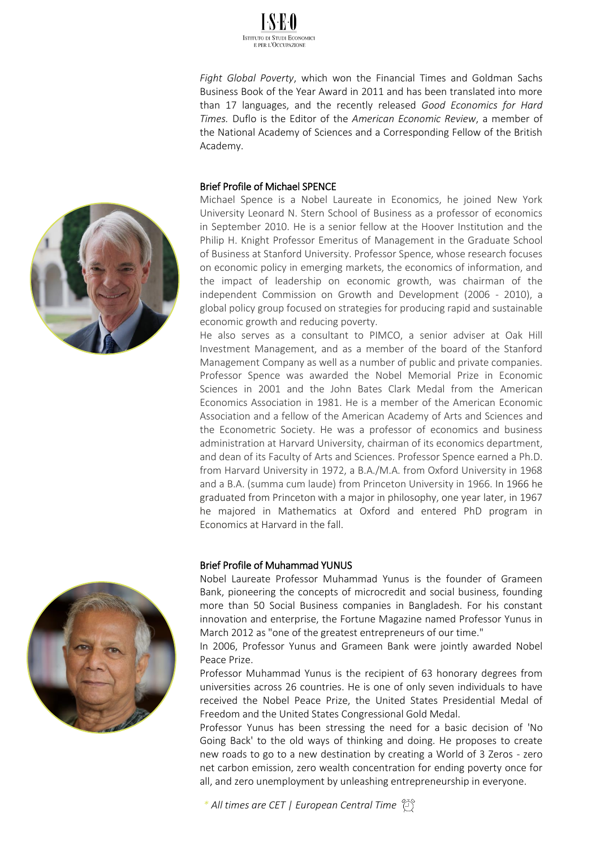

*Fight Global Poverty*, which won the Financial Times and Goldman Sachs Business Book of the Year Award in 2011 and has been translated into more than 17 languages, and the recently released *Good Economics for Hard Times.* Duflo is the Editor of the *American Economic Review*, a member of the National Academy of Sciences and a Corresponding Fellow of the British Academy.

### Brief Profile of Michael SPENCE

Michael Spence is a Nobel Laureate in Economics, he joined New York University Leonard N. Stern School of Business as a professor of economics in September 2010. He is a senior fellow at the Hoover Institution and the Philip H. Knight Professor Emeritus of Management in the Graduate School of Business at Stanford University. Professor Spence, whose research focuses on economic policy in emerging markets, the economics of information, and the impact of leadership on economic growth, was chairman of the independent Commission on Growth and Development (2006 - 2010), a global policy group focused on strategies for producing rapid and sustainable economic growth and reducing poverty.

He also serves as a consultant to PIMCO, a senior adviser at Oak Hill Investment Management, and as a member of the board of the Stanford Management Company as well as a number of public and private companies. Professor Spence was awarded the Nobel Memorial Prize in Economic Sciences in 2001 and the John Bates Clark Medal from the American Economics Association in 1981. He is a member of the American Economic Association and a fellow of the American Academy of Arts and Sciences and the Econometric Society. He was a professor of economics and business administration at Harvard University, chairman of its economics department, and dean of its Faculty of Arts and Sciences. Professor Spence earned a Ph.D. from Harvard University in 1972, a B.A./M.A. from Oxford University in 1968 and a B.A. (summa cum laude) from Princeton University in 1966. In 1966 he graduated from Princeton with a major in philosophy, one year later, in 1967 he majored in Mathematics at Oxford and entered PhD program in Economics at Harvard in the fall.

### Brief Profile of Muhammad YUNUS

Nobel Laureate Professor Muhammad Yunus is the founder of Grameen Bank, pioneering the concepts of microcredit and social business, founding more than 50 Social Business companies in Bangladesh. For his constant innovation and enterprise, the Fortune Magazine named Professor Yunus in March 2012 as "one of the greatest entrepreneurs of our time."

In 2006, Professor Yunus and Grameen Bank were jointly awarded Nobel Peace Prize.

Professor Muhammad Yunus is the recipient of 63 honorary degrees from universities across 26 countries. He is one of only seven individuals to have received the Nobel Peace Prize, the United States Presidential Medal of Freedom and the United States Congressional Gold Medal.

Professor Yunus has been stressing the need for a basic decision of 'No Going Back' to the old ways of thinking and doing. He proposes to create new roads to go to a new destination by creating a World of 3 Zeros - zero net carbon emission, zero wealth concentration for ending poverty once for all, and zero unemployment by unleashing entrepreneurship in everyone.



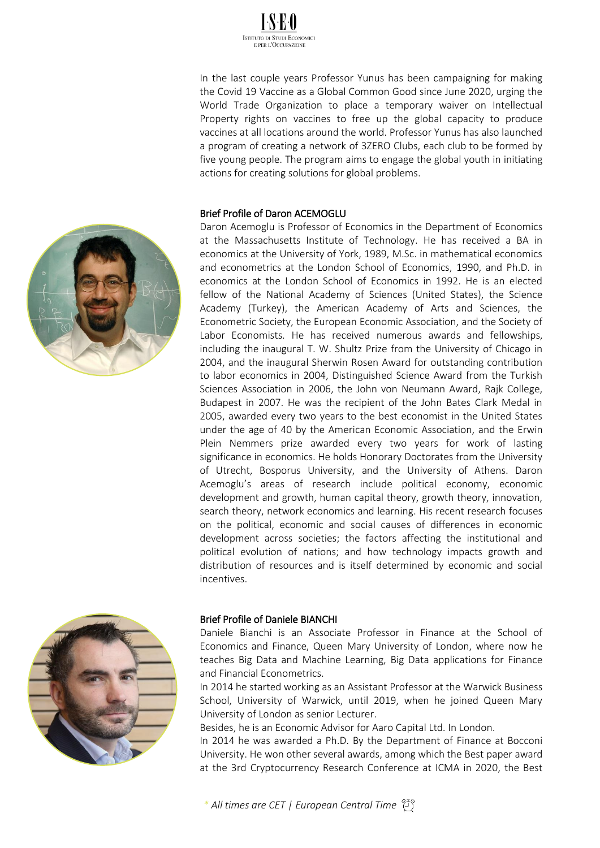

In the last couple years Professor Yunus has been campaigning for making the Covid 19 Vaccine as a Global Common Good since June 2020, urging the World Trade Organization to place a temporary waiver on Intellectual Property rights on vaccines to free up the global capacity to produce vaccines at all locations around the world. Professor Yunus has also launched a program of creating a network of 3ZERO Clubs, each club to be formed by five young people. The program aims to engage the global youth in initiating actions for creating solutions for global problems.

### Brief Profile of Daron ACEMOGLU

Daron Acemoglu is Professor of Economics in the Department of Economics at the Massachusetts Institute of Technology. He has received a BA in economics at the University of York, 1989, M.Sc. in mathematical economics and econometrics at the London School of Economics, 1990, and Ph.D. in economics at the London School of Economics in 1992. He is an elected fellow of the National Academy of Sciences (United States), the Science Academy (Turkey), the American Academy of Arts and Sciences, the Econometric Society, the European Economic Association, and the Society of Labor Economists. He has received numerous awards and fellowships, including the inaugural T. W. Shultz Prize from the University of Chicago in 2004, and the inaugural Sherwin Rosen Award for outstanding contribution to labor economics in 2004, Distinguished Science Award from the Turkish Sciences Association in 2006, the John von Neumann Award, Rajk College, Budapest in 2007. He was the recipient of the John Bates Clark Medal in 2005, awarded every two years to the best economist in the United States under the age of 40 by the American Economic Association, and the Erwin Plein Nemmers prize awarded every two years for work of lasting significance in economics. He holds Honorary Doctorates from the University of Utrecht, Bosporus University, and the University of Athens. Daron Acemoglu's areas of research include political economy, economic development and growth, human capital theory, growth theory, innovation, search theory, network economics and learning. His recent research focuses on the political, economic and social causes of differences in economic development across societies; the factors affecting the institutional and political evolution of nations; and how technology impacts growth and distribution of resources and is itself determined by economic and social incentives.





### Brief Profile of Daniele BIANCHI

Daniele Bianchi is an Associate Professor in Finance at the School of Economics and Finance, Queen Mary University of London, where now he teaches Big Data and Machine Learning, Big Data applications for Finance and Financial Econometrics.

In 2014 he started working as an Assistant Professor at the Warwick Business School, University of Warwick, until 2019, when he joined Queen Mary University of London as senior Lecturer.

Besides, he is an Economic Advisor for Aaro Capital Ltd. In London.

In 2014 he was awarded a Ph.D. By the Department of Finance at Bocconi University. He won other several awards, among which the Best paper award at the 3rd Cryptocurrency Research Conference at ICMA in 2020, the Best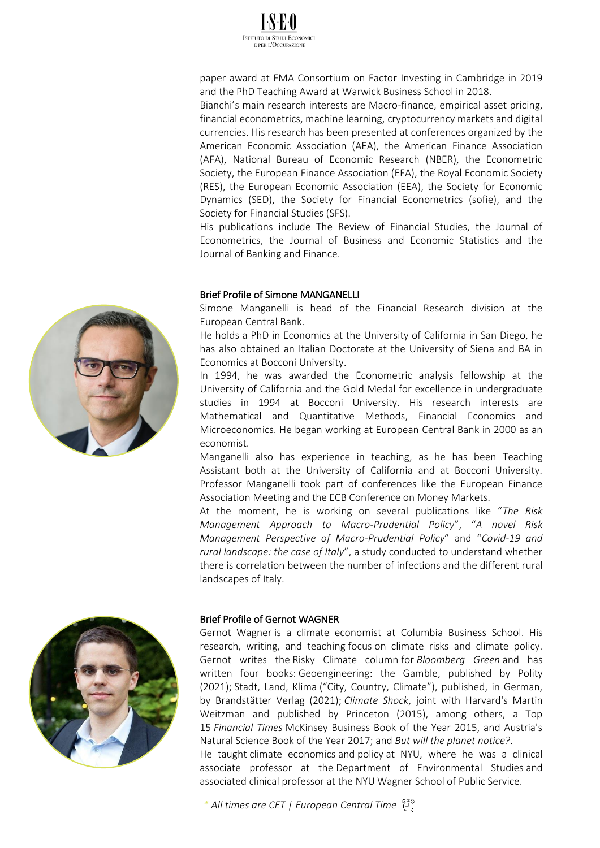

paper award at FMA Consortium on Factor Investing in Cambridge in 2019 and the PhD Teaching Award at Warwick Business School in 2018.

Bianchi's main research interests are Macro-finance, empirical asset pricing, financial econometrics, machine learning, cryptocurrency markets and digital currencies. His research has been presented at conferences organized by the American Economic Association (AEA), the American Finance Association (AFA), National Bureau of Economic Research (NBER), the Econometric Society, the European Finance Association (EFA), the Royal Economic Society (RES), the European Economic Association (EEA), the Society for Economic Dynamics (SED), the Society for Financial Econometrics (sofie), and the Society for Financial Studies (SFS).

His publications include The Review of Financial Studies, the Journal of Econometrics, the Journal of Business and Economic Statistics and the Journal of Banking and Finance.

#### Brief Profile of Simone MANGANELLI

Simone Manganelli is head of the Financial Research division at the European Central Bank.

He holds a PhD in Economics at the University of California in San Diego, he has also obtained an Italian Doctorate at the University of Siena and BA in Economics at Bocconi University.

In 1994, he was awarded the Econometric analysis fellowship at the University of California and the Gold Medal for excellence in undergraduate studies in 1994 at Bocconi University. His research interests are Mathematical and Quantitative Methods, Financial Economics and Microeconomics. He began working at European Central Bank in 2000 as an economist.

Manganelli also has experience in teaching, as he has been Teaching Assistant both at the University of California and at Bocconi University. Professor Manganelli took part of conferences like the European Finance Association Meeting and the ECB Conference on Money Markets.

At the moment, he is working on several publications like "*The Risk Management Approach to Macro-Prudential Policy*", "*A novel Risk Management Perspective of Macro-Prudential Policy*" and "*Covid-19 and rural landscape: the case of Italy*", a study conducted to understand whether there is correlation between the number of infections and the different rural landscapes of Italy.



### Brief Profile of Gernot WAGNER

[Gernot Wagner](http://gwagner.com/) is a climate economist at Columbia Business School. His research, writing, and teaching [focus](https://gwagner.com/bio/preoccupations/) on climate risks and climate policy. Gernot writes the Risky Climate column for *Bloomberg Green* and has written four books: [Geoengineering: the Gamble,](https://gwagner.com/GtG) published by Polity (2021); [Stadt, Land, Klima](https://gwagner.com/books/stadt-land-klima/) ("City, Country, Climate"), published, in German, by Brandstätter Verlag (2021); *[Climate Shock](http://gwagner.com/books/climate-shock/)*, joint with Harvard's Martin Weitzman and published by Princeton (2015), among others, a Top 15 *Financial Times* McKinsey Business Book of the Year 2015, and Austria's Natural Science Book of the Year 2017; and *[But will the planet notice?](http://gwagner.com/books/but-will-the-planet-notice/)*. He taught [climate economics](http://gwagner.com/nyu-climate-economics/) and [policy](http://gwagner.com/nyu-economic-policy-analysis) at NYU, where he was a clinical associate professor at the [Department of Environmental Studies](https://as.nyu.edu/faculty/gernot-wagner.html) and

associated clinical professor at the [NYU Wagner School of Public Service.](https://wagner.nyu.edu/community/faculty/gernot-wagner)

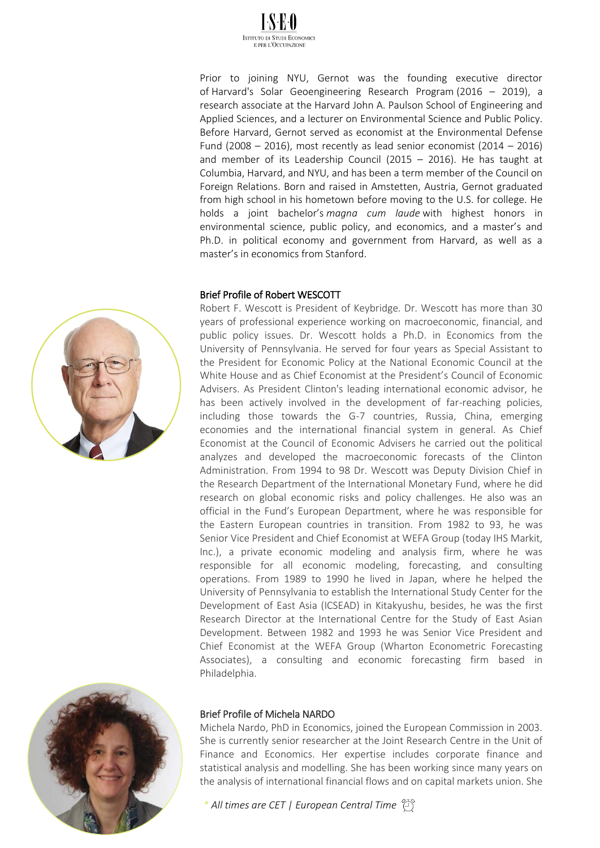

Prior to joining NYU, Gernot was the founding executive director of [Harvard's Solar Geoengineering Research Program](https://geoengineering.environment.harvard.edu/people/gernot-wagner) (2016 – 2019), a research associate at the Harvard John A. Paulson School of Engineering and Applied Sciences, and a lecturer on Environmental Science and Public Policy. Before Harvard, Gernot served as economist at the Environmental Defense Fund (2008 – 2016), most recently as lead senior economist (2014 – 2016) and member of its Leadership Council (2015 – 2016). He has taught at Columbia, Harvard, and NYU, and has been a term member of the Council on Foreign Relations. Born and raised in Amstetten, Austria, Gernot graduated from high school in his hometown before moving to the U.S. for college. He holds a joint bachelor's *magna cum laude* with highest honors in environmental science, public policy, and economics, and a master's and Ph.D. in political economy and government from Harvard, as well as a master's in economics from Stanford.

### Brief Profile of Robert WESCOTT

Robert F. Wescott is President of Keybridge. Dr. Wescott has more than 30 years of professional experience working on macroeconomic, financial, and public policy issues. Dr. Wescott holds a Ph.D. in Economics from the University of Pennsylvania. He served for four years as Special Assistant to the President for Economic Policy at the National Economic Council at the White House and as Chief Economist at the President's Council of Economic Advisers. As President Clinton's leading international economic advisor, he has been actively involved in the development of far-reaching policies, including those towards the G-7 countries, Russia, China, emerging economies and the international financial system in general. As Chief Economist at the Council of Economic Advisers he carried out the political analyzes and developed the macroeconomic forecasts of the Clinton Administration. From 1994 to 98 Dr. Wescott was Deputy Division Chief in the Research Department of the International Monetary Fund, where he did research on global economic risks and policy challenges. He also was an official in the Fund's European Department, where he was responsible for the Eastern European countries in transition. From 1982 to 93, he was Senior Vice President and Chief Economist at WEFA Group (today IHS Markit, Inc.), a private economic modeling and analysis firm, where he was responsible for all economic modeling, forecasting, and consulting operations. From 1989 to 1990 he lived in Japan, where he helped the University of Pennsylvania to establish the International Study Center for the Development of East Asia (ICSEAD) in Kitakyushu, besides, he was the first Research Director at the International Centre for the Study of East Asian Development. Between 1982 and 1993 he was Senior Vice President and Chief Economist at the WEFA Group (Wharton Econometric Forecasting Associates), a consulting and economic forecasting firm based in Philadelphia.



### Brief Profile of Michela NARDO

Michela Nardo, PhD in Economics, joined the European Commission in 2003. She is currently senior researcher at the Joint Research Centre in the Unit of Finance and Economics. Her expertise includes corporate finance and statistical analysis and modelling. She has been working since many years on the analysis of international financial flows and on capital markets union. She